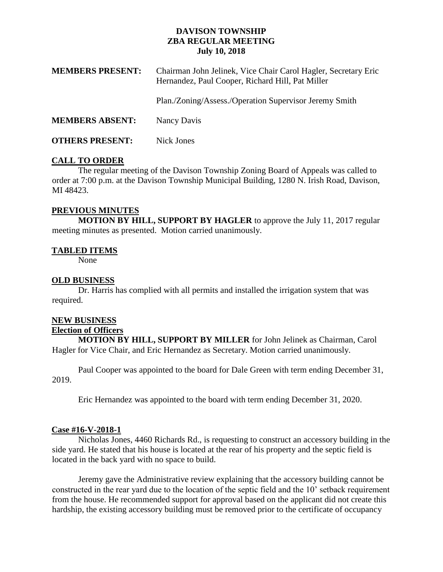# **DAVISON TOWNSHIP ZBA REGULAR MEETING July 10, 2018**

| <b>MEMBERS PRESENT:</b> | Chairman John Jelinek, Vice Chair Carol Hagler, Secretary Eric<br>Hernandez, Paul Cooper, Richard Hill, Pat Miller |
|-------------------------|--------------------------------------------------------------------------------------------------------------------|
|                         | Plan./Zoning/Assess./Operation Supervisor Jeremy Smith                                                             |
| <b>MEMBERS ABSENT:</b>  | Nancy Davis                                                                                                        |
| <b>OTHERS PRESENT:</b>  | Nick Jones                                                                                                         |

### **CALL TO ORDER**

The regular meeting of the Davison Township Zoning Board of Appeals was called to order at 7:00 p.m. at the Davison Township Municipal Building, 1280 N. Irish Road, Davison, MI 48423.

## **PREVIOUS MINUTES**

**MOTION BY HILL, SUPPORT BY HAGLER** to approve the July 11, 2017 regular meeting minutes as presented. Motion carried unanimously.

### **TABLED ITEMS**

None

### **OLD BUSINESS**

Dr. Harris has complied with all permits and installed the irrigation system that was required.

# **NEW BUSINESS**

#### **Election of Officers**

**MOTION BY HILL, SUPPORT BY MILLER** for John Jelinek as Chairman, Carol Hagler for Vice Chair, and Eric Hernandez as Secretary. Motion carried unanimously.

Paul Cooper was appointed to the board for Dale Green with term ending December 31, 2019.

Eric Hernandez was appointed to the board with term ending December 31, 2020.

#### **Case #16-V-2018-1**

Nicholas Jones, 4460 Richards Rd., is requesting to construct an accessory building in the side yard. He stated that his house is located at the rear of his property and the septic field is located in the back yard with no space to build.

Jeremy gave the Administrative review explaining that the accessory building cannot be constructed in the rear yard due to the location of the septic field and the 10' setback requirement from the house. He recommended support for approval based on the applicant did not create this hardship, the existing accessory building must be removed prior to the certificate of occupancy